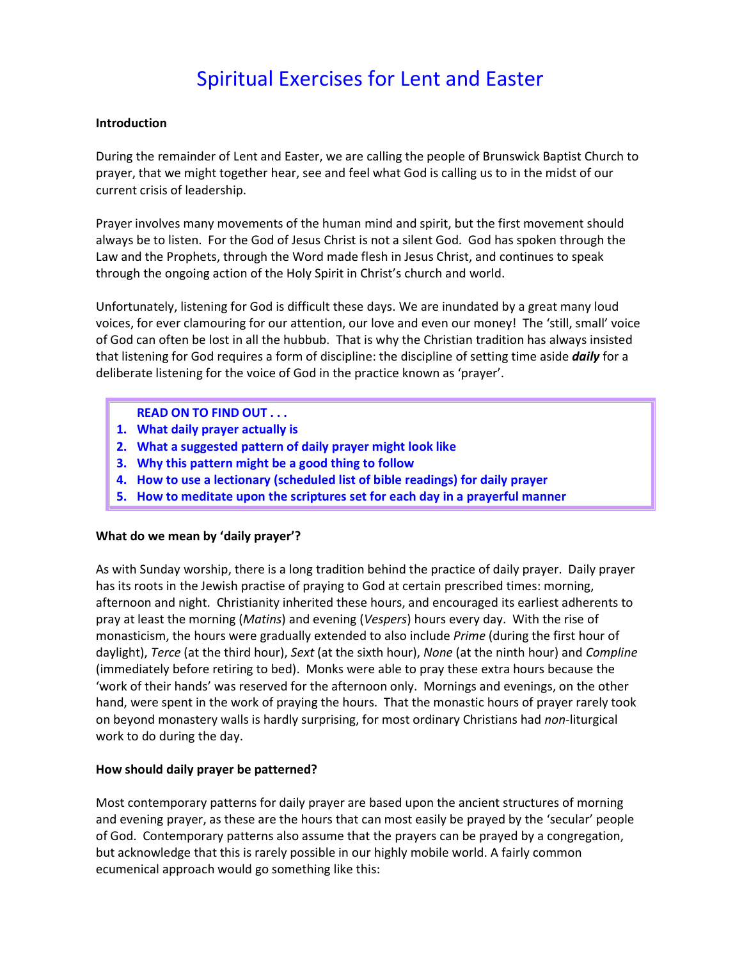# Spiritual Exercises for Lent and Easter

#### **Introduction**

During the remainder of Lent and Easter, we are calling the people of Brunswick Baptist Church to prayer, that we might together hear, see and feel what God is calling us to in the midst of our current crisis of leadership.

Prayer involves many movements of the human mind and spirit, but the first movement should always be to listen. For the God of Jesus Christ is not a silent God. God has spoken through the Law and the Prophets, through the Word made flesh in Jesus Christ, and continues to speak through the ongoing action of the Holy Spirit in Christ's church and world.

Unfortunately, listening for God is difficult these days. We are inundated by a great many loud voices, for ever clamouring for our attention, our love and even our money! The 'still, small' voice of God can often be lost in all the hubbub. That is why the Christian tradition has always insisted that listening for God requires a form of discipline: the discipline of setting time aside *daily* for a deliberate listening for the voice of God in the practice known as 'prayer'.

#### **READ ON TO FIND OUT . . .**

- **1. What daily prayer actually is**
- **2. What a suggested pattern of daily prayer might look like**
- **3. Why this pattern might be a good thing to follow**
- **4. How to use a lectionary (scheduled list of bible readings) for daily prayer**
- **5. How to meditate upon the scriptures set for each day in a prayerful manner**

#### **What do we mean by 'daily prayer'?**

As with Sunday worship, there is a long tradition behind the practice of daily prayer. Daily prayer has its roots in the Jewish practise of praying to God at certain prescribed times: morning, afternoon and night. Christianity inherited these hours, and encouraged its earliest adherents to pray at least the morning (*Matins*) and evening (*Vespers*) hours every day. With the rise of monasticism, the hours were gradually extended to also include *Prime* (during the first hour of daylight), *Terce* (at the third hour), *Sext* (at the sixth hour), *None* (at the ninth hour) and *Compline* (immediately before retiring to bed). Monks were able to pray these extra hours because the 'work of their hands' was reserved for the afternoon only. Mornings and evenings, on the other hand, were spent in the work of praying the hours. That the monastic hours of prayer rarely took on beyond monastery walls is hardly surprising, for most ordinary Christians had *non-*liturgical work to do during the day.

#### **How should daily prayer be patterned?**

Most contemporary patterns for daily prayer are based upon the ancient structures of morning and evening prayer, as these are the hours that can most easily be prayed by the 'secular' people of God. Contemporary patterns also assume that the prayers can be prayed by a congregation, but acknowledge that this is rarely possible in our highly mobile world. A fairly common ecumenical approach would go something like this: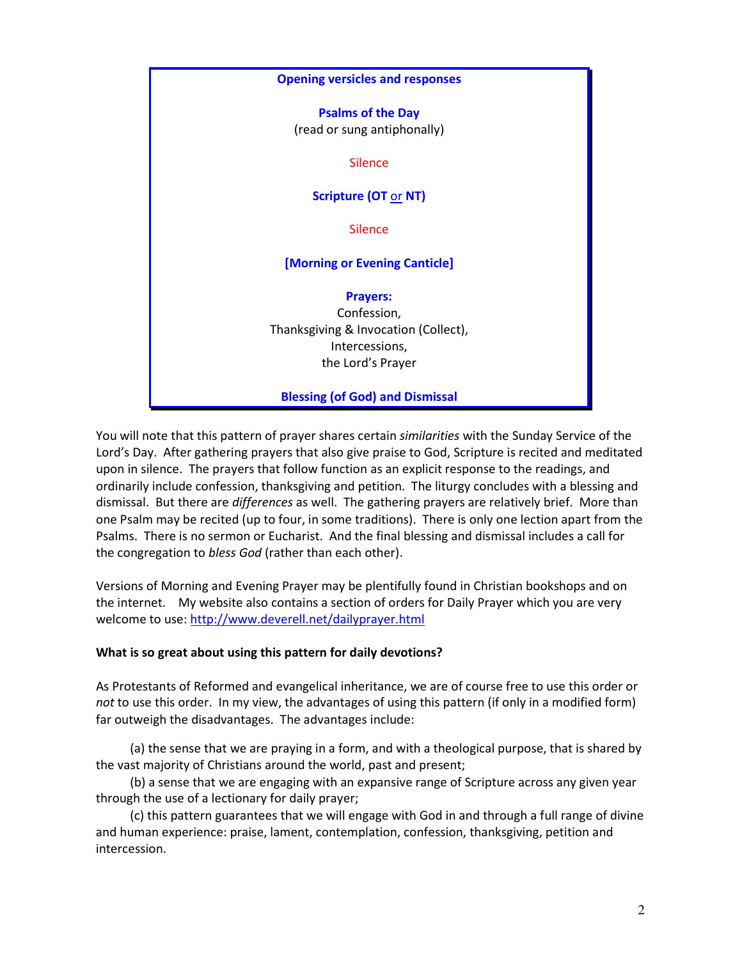

You will note that this pattern of prayer shares certain *similarities* with the Sunday Service of the Lord's Day. After gathering prayers that also give praise to God, Scripture is recited and meditated upon in silence. The prayers that follow function as an explicit response to the readings, and ordinarily include confession, thanksgiving and petition. The liturgy concludes with a blessing and dismissal. But there are *differences* as well. The gathering prayers are relatively brief. More than one Psalm may be recited (up to four, in some traditions). There is only one lection apart from the Psalms. There is no sermon or Eucharist. And the final blessing and dismissal includes a call for the congregation to *bless God* (rather than each other).

Versions of Morning and Evening Prayer may be plentifully found in Christian bookshops and on the internet. My website also contains a section of orders for Daily Prayer which you are very welcome to use: http://www.deverell.net/dailyprayer.html

#### **What is so great about using this pattern for daily devotions?**

As Protestants of Reformed and evangelical inheritance, we are of course free to use this order or *not* to use this order. In my view, the advantages of using this pattern (if only in a modified form) far outweigh the disadvantages. The advantages include:

 (a) the sense that we are praying in a form, and with a theological purpose, that is shared by the vast majority of Christians around the world, past and present;

 (b) a sense that we are engaging with an expansive range of Scripture across any given year through the use of a lectionary for daily prayer;

 (c) this pattern guarantees that we will engage with God in and through a full range of divine and human experience: praise, lament, contemplation, confession, thanksgiving, petition and intercession.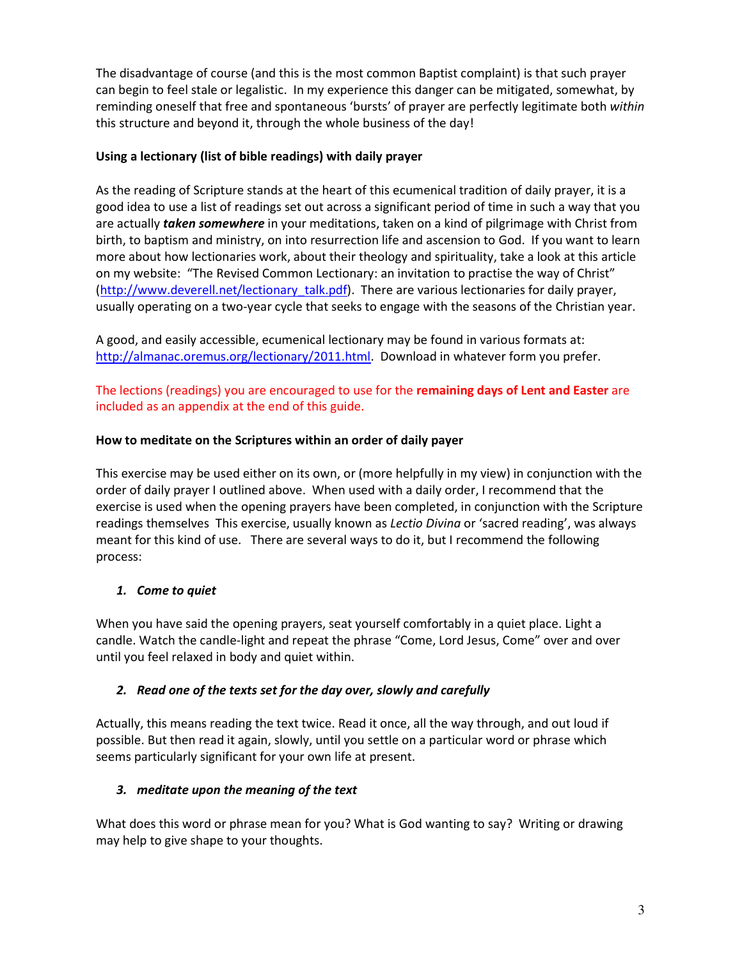The disadvantage of course (and this is the most common Baptist complaint) is that such prayer can begin to feel stale or legalistic. In my experience this danger can be mitigated, somewhat, by reminding oneself that free and spontaneous 'bursts' of prayer are perfectly legitimate both *within* this structure and beyond it, through the whole business of the day!

## **Using a lectionary (list of bible readings) with daily prayer**

As the reading of Scripture stands at the heart of this ecumenical tradition of daily prayer, it is a good idea to use a list of readings set out across a significant period of time in such a way that you are actually *taken somewhere* in your meditations, taken on a kind of pilgrimage with Christ from birth, to baptism and ministry, on into resurrection life and ascension to God. If you want to learn more about how lectionaries work, about their theology and spirituality, take a look at this article on my website: "The Revised Common Lectionary: an invitation to practise the way of Christ" (http://www.deverell.net/lectionary\_talk.pdf). There are various lectionaries for daily prayer, usually operating on a two-year cycle that seeks to engage with the seasons of the Christian year.

A good, and easily accessible, ecumenical lectionary may be found in various formats at: http://almanac.oremus.org/lectionary/2011.html. Download in whatever form you prefer.

The lections (readings) you are encouraged to use for the **remaining days of Lent and Easter** are included as an appendix at the end of this guide.

## **How to meditate on the Scriptures within an order of daily payer**

This exercise may be used either on its own, or (more helpfully in my view) in conjunction with the order of daily prayer I outlined above. When used with a daily order, I recommend that the exercise is used when the opening prayers have been completed, in conjunction with the Scripture readings themselves This exercise, usually known as *Lectio Divina* or 'sacred reading', was always meant for this kind of use. There are several ways to do it, but I recommend the following process:

## *1. Come to quiet*

When you have said the opening prayers, seat yourself comfortably in a quiet place. Light a candle. Watch the candle-light and repeat the phrase "Come, Lord Jesus, Come" over and over until you feel relaxed in body and quiet within.

## *2. Read one of the texts set for the day over, slowly and carefully*

Actually, this means reading the text twice. Read it once, all the way through, and out loud if possible. But then read it again, slowly, until you settle on a particular word or phrase which seems particularly significant for your own life at present.

## *3. meditate upon the meaning of the text*

What does this word or phrase mean for you? What is God wanting to say? Writing or drawing may help to give shape to your thoughts.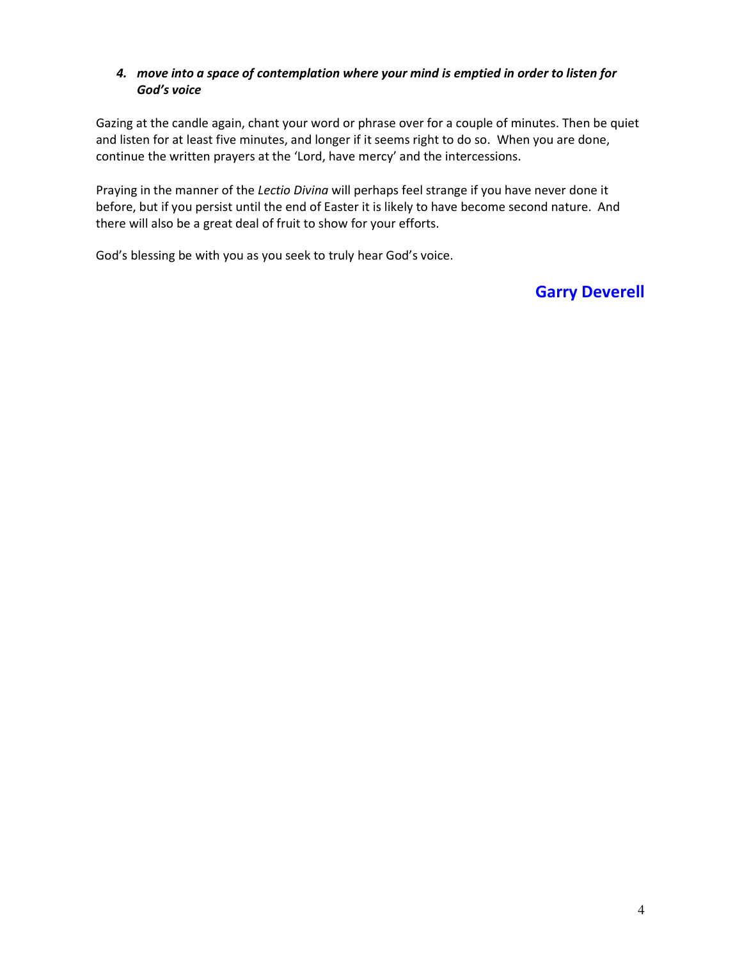## *4. move into a space of contemplation where your mind is emptied in order to listen for God's voice*

Gazing at the candle again, chant your word or phrase over for a couple of minutes. Then be quiet and listen for at least five minutes, and longer if it seems right to do so. When you are done, continue the written prayers at the 'Lord, have mercy' and the intercessions.

Praying in the manner of the *Lectio Divina* will perhaps feel strange if you have never done it before, but if you persist until the end of Easter it is likely to have become second nature. And there will also be a great deal of fruit to show for your efforts.

God's blessing be with you as you seek to truly hear God's voice.

## **Garry Deverell**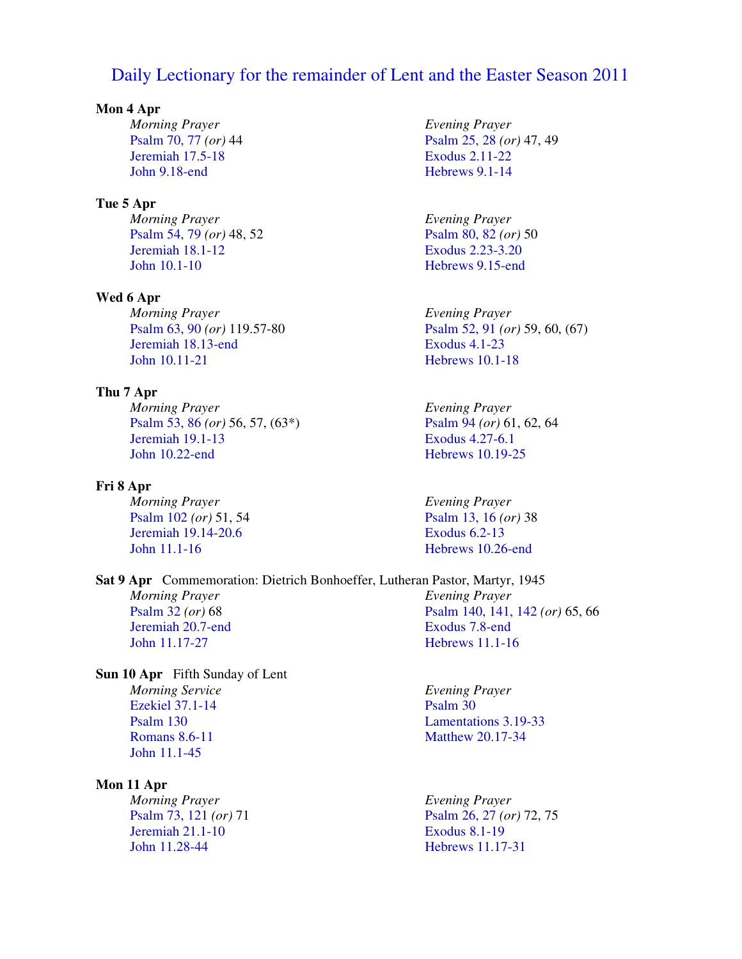## Daily Lectionary for the remainder of Lent and the Easter Season 2011

#### **Mon 4 Apr**

*Morning Prayer*  Psalm 70, 77 *(or)* 44 Jeremiah 17.5-18 John 9.18-end

#### **Tue 5 Apr**

*Morning Prayer*  Psalm 54, 79 *(or)* 48, 52 Jeremiah 18.1-12 John 10.1-10

#### **Wed 6 Apr**

*Morning Prayer*  Psalm 63, 90 *(or)* 119.57-80 Jeremiah 18.13-end John 10.11-21

## **Thu 7 Apr**

*Morning Prayer*  Psalm 53, 86 *(or)* 56, 57, (63\*) Jeremiah 19.1-13 John 10.22-end

#### **Fri 8 Apr**

*Morning Prayer*  Psalm 102 *(or)* 51, 54 Jeremiah 19.14-20.6 John 11.1-16

**Sat 9 Apr** Commemoration: Dietrich Bonhoeffer, Lutheran Pastor, Martyr, 1945 *Morning Prayer*  Psalm 32 *(or)* 68 Jeremiah 20.7-end John 11.17-27 *Evening Prayer*  Exodus 7.8-end

**Sun 10 Apr** Fifth Sunday of Lent *Morning Service*  Ezekiel 37.1-14 Psalm 130 Romans 8.6-11 John 11.1-45

#### **Mon 11 Apr**

*Morning Prayer*  Psalm 73, 121 *(or)* 71 Jeremiah 21.1-10 John 11.28-44

*Evening Prayer*  Psalm 25, 28 *(or)* 47, 49 Exodus 2.11-22 Hebrews 9.1-14

*Evening Prayer*  Psalm 80, 82 *(or)* 50 Exodus 2.23-3.20 Hebrews 9.15-end

*Evening Prayer*  Psalm 52, 91 *(or)* 59, 60, (67) Exodus 4.1-23 Hebrews 10.1-18

*Evening Prayer*  Psalm 94 *(or)* 61, 62, 64 Exodus 4.27-6.1 Hebrews 10.19-25

*Evening Prayer*  Psalm 13, 16 *(or)* 38 Exodus 6.2-13 Hebrews 10.26-end

Psalm 140, 141, 142 *(or)* 65, 66 Hebrews 11.1-16

*Evening Prayer*  Psalm 30 Lamentations 3.19-33 Matthew 20.17-34

*Evening Prayer*  Psalm 26, 27 *(or)* 72, 75 Exodus 8.1-19 Hebrews 11.17-31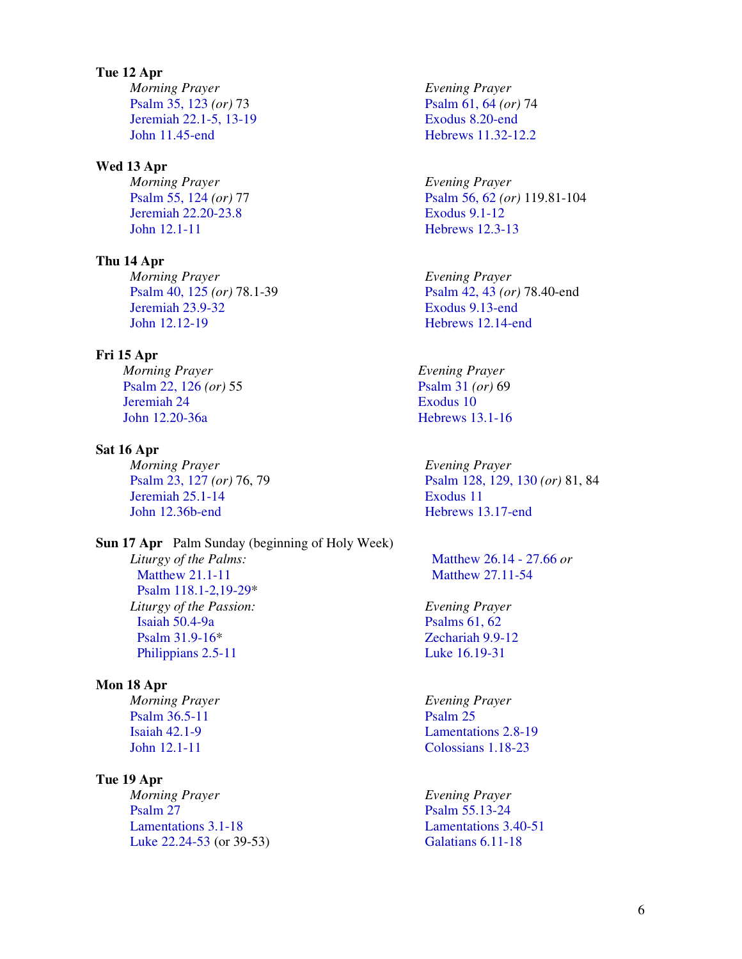**Tue 12 Apr**  *Morning Prayer*  Psalm 35, 123 *(or)* 73 Jeremiah 22.1-5, 13-19 John 11.45-end

#### **Wed 13 Apr**

*Morning Prayer*  Psalm 55, 124 *(or)* 77 Jeremiah 22.20-23.8 John 12.1-11

**Thu 14 Apr**  *Morning Prayer*  Psalm 40, 125 *(or)* 78.1-39 Jeremiah 23.9-32 John 12.12-19

#### **Fri 15 Apr**

*Morning Prayer*  Psalm 22, 126 *(or)* 55 Jeremiah 24 John 12.20-36a

#### **Sat 16 Apr**

*Morning Prayer*  Psalm 23, 127 *(or)* 76, 79 Jeremiah 25.1-14 John 12.36b-end

**Sun 17 Apr** Palm Sunday (beginning of Holy Week) *Liturgy of the Palms:*  Matthew 21.1-11 Psalm 118.1-2,19-29\* *Liturgy of the Passion:*  Isaiah 50.4-9a Psalm 31.9-16\* Philippians 2.5-11

#### **Mon 18 Apr**

*Morning Prayer*  Psalm 36.5-11 Isaiah 42.1-9 John 12.1-11

#### **Tue 19 Apr**

*Morning Prayer*  Psalm 27 Lamentations 3.1-18 Luke 22.24-53 (or 39-53) *Evening Prayer*  Psalm 61, 64 *(or)* 74 Exodus 8.20-end Hebrews 11.32-12.2

*Evening Prayer*  Psalm 56, 62 *(or)* 119.81-104 Exodus 9.1-12 Hebrews 12.3-13

*Evening Prayer*  Psalm 42, 43 *(or)* 78.40-end Exodus 9.13-end Hebrews 12.14-end

*Evening Prayer*  Psalm 31 *(or)* 69 Exodus 10 Hebrews 13.1-16

*Evening Prayer*  Psalm 128, 129, 130 *(or)* 81, 84 Exodus 11 Hebrews 13.17-end

 Matthew 26.14 - 27.66 *or*  Matthew 27.11-54

*Evening Prayer*  Psalms 61, 62 Zechariah 9.9-12 Luke 16.19-31

*Evening Prayer*  Psalm 25 Lamentations 2.8-19 Colossians 1.18-23

*Evening Prayer*  Psalm 55.13-24 Lamentations 3.40-51 Galatians 6.11-18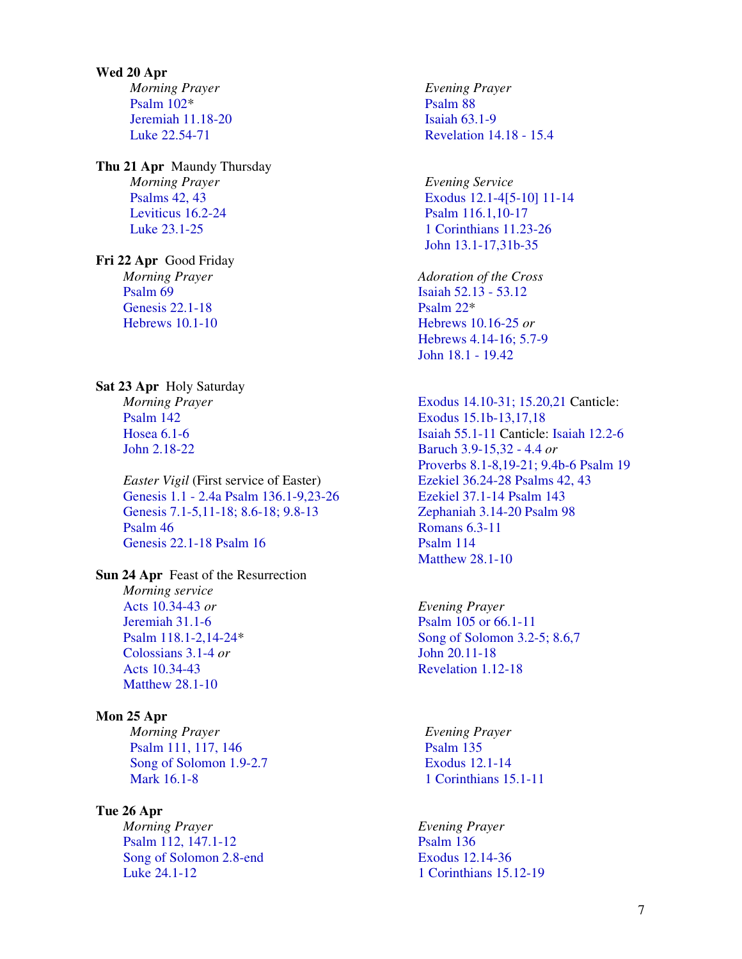**Wed 20 Apr**  *Morning Prayer*  Psalm 102\* Jeremiah 11.18-20 Luke 22.54-71

**Thu 21 Apr** Maundy Thursday *Morning Prayer*  Psalms 42, 43 Leviticus 16.2-24 Luke 23.1-25

**Fri 22 Apr** Good Friday *Morning Prayer*  Psalm 69 Genesis 22.1-18 Hebrews 10.1-10

#### **Sat 23 Apr** Holy Saturday

*Morning Prayer*  Psalm 142 Hosea 6.1-6 John 2.18-22

*Easter Vigil* (First service of Easter) Genesis 1.1 - 2.4a Psalm 136.1-9,23-26 Genesis 7.1-5,11-18; 8.6-18; 9.8-13 Psalm 46 Genesis 22.1-18 Psalm 16

#### **Sun 24 Apr** Feast of the Resurrection

*Morning service*  Acts 10.34-43 *or*  Jeremiah 31.1-6 Psalm 118.1-2,14-24\* Colossians 3.1-4 *or*  Acts 10.34-43 Matthew 28.1-10

#### **Mon 25 Apr**

*Morning Prayer*  Psalm 111, 117, 146 Song of Solomon 1.9-2.7 Mark 16.1-8

#### **Tue 26 Apr**

*Morning Prayer*  Psalm 112, 147.1-12 Song of Solomon 2.8-end Luke 24.1-12

*Evening Prayer*  Psalm 88 Isaiah 63.1-9 Revelation 14.18 - 15.4

*Evening Service*  Exodus 12.1-4[5-10] 11-14 Psalm 116.1,10-17 1 Corinthians 11.23-26 John 13.1-17,31b-35

*Adoration of the Cross*  Isaiah 52.13 - 53.12 Psalm 22\* Hebrews 10.16-25 *or*  Hebrews 4.14-16; 5.7-9 John 18.1 - 19.42

Exodus 14.10-31; 15.20,21 Canticle: Exodus 15.1b-13,17,18 Isaiah 55.1-11 Canticle: Isaiah 12.2-6 Baruch 3.9-15,32 - 4.4 *or*  Proverbs 8.1-8,19-21; 9.4b-6 Psalm 19 Ezekiel 36.24-28 Psalms 42, 43 Ezekiel 37.1-14 Psalm 143 Zephaniah 3.14-20 Psalm 98 Romans 6.3-11 Psalm 114 Matthew 28.1-10

*Evening Prayer*  Psalm 105 or 66.1-11 Song of Solomon 3.2-5; 8.6,7 John 20.11-18 Revelation 1.12-18

*Evening Prayer*  Psalm 135 Exodus 12.1-14 1 Corinthians 15.1-11

*Evening Prayer*  Psalm 136 Exodus 12.14-36 1 Corinthians 15.12-19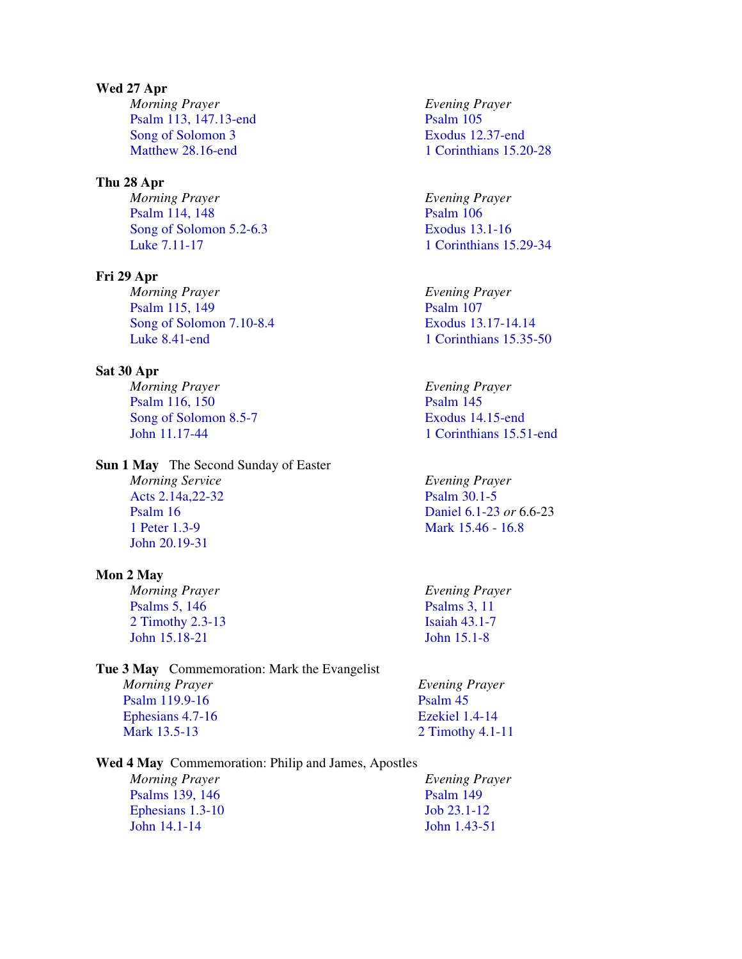## **Wed 27 Apr**

*Morning Prayer*  Psalm 113, 147.13-end Song of Solomon 3 Matthew 28.16-end

#### **Thu 28 Apr**

*Morning Prayer*  Psalm 114, 148 Song of Solomon 5.2-6.3 Luke 7.11-17

## **Fri 29 Apr**

*Morning Prayer*  Psalm 115, 149 Song of Solomon 7.10-8.4 Luke 8.41-end

#### **Sat 30 Apr**

*Morning Prayer*  Psalm 116, 150 Song of Solomon 8.5-7 John 11.17-44

#### **Sun 1 May** The Second Sunday of Easter

*Morning Service*  Acts 2.14a,22-32 Psalm 16 1 Peter 1.3-9 John 20.19-31

#### **Mon 2 May**

*Morning Prayer*  Psalms 5, 146 2 Timothy 2.3-13 John 15.18-21

**Tue 3 May** Commemoration: Mark the Evangelist *Morning Prayer*  Psalm 119.9-16 Ephesians 4.7-16 Mark 13.5-13

**Wed 4 May** Commemoration: Philip and James, Apostles

*Morning Prayer*  Psalms 139, 146 Ephesians 1.3-10 John 14.1-14

*Evening Prayer*  Psalm 105 Exodus 12.37-end 1 Corinthians 15.20-28

*Evening Prayer*  Psalm 106 Exodus 13.1-16 1 Corinthians 15.29-34

*Evening Prayer*  Psalm 107 Exodus 13.17-14.14 1 Corinthians 15.35-50

*Evening Prayer*  Psalm 145 Exodus 14.15-end 1 Corinthians 15.51-end

*Evening Prayer*  Psalm 30.1-5 Daniel 6.1-23 *or* 6.6-23 Mark 15.46 - 16.8

*Evening Prayer*  Psalms 3, 11 Isaiah 43.1-7 John 15.1-8

*Evening Prayer*  Psalm 45 Ezekiel 1.4-14 2 Timothy 4.1-11

*Evening Prayer*  Psalm 149 Job 23.1-12 John 1.43-51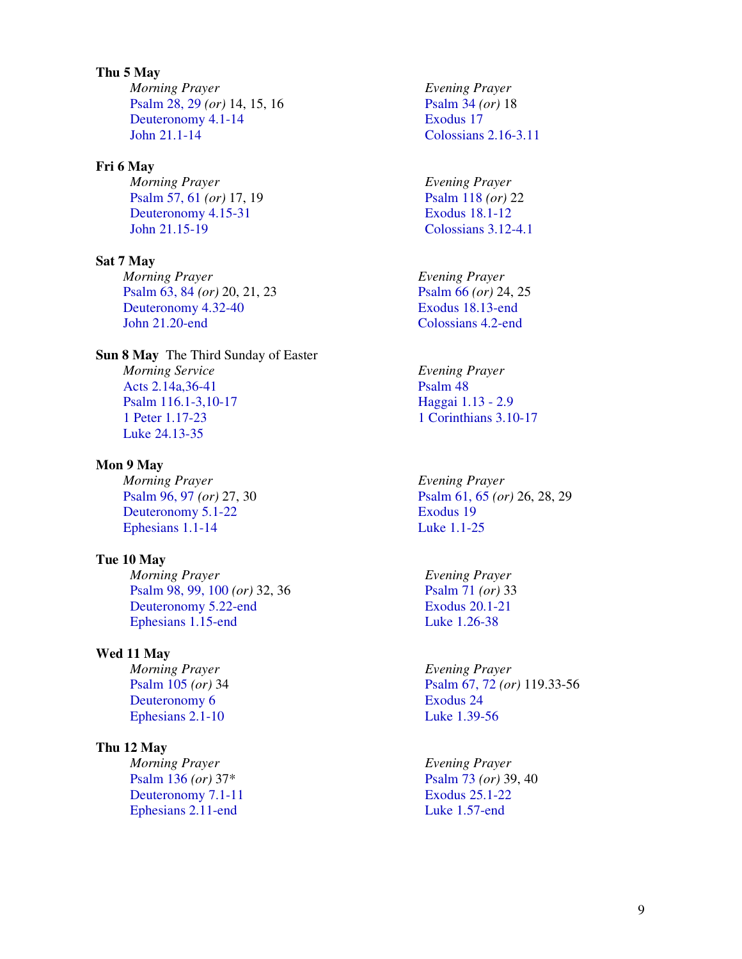**Thu 5 May**  *Morning Prayer*  Psalm 28, 29 *(or)* 14, 15, 16 Deuteronomy 4.1-14 John 21.1-14

**Fri 6 May**  *Morning Prayer*  Psalm 57, 61 *(or)* 17, 19 Deuteronomy 4.15-31 John 21.15-19

**Sat 7 May**  *Morning Prayer*  Psalm 63, 84 *(or)* 20, 21, 23 Deuteronomy 4.32-40 John 21.20-end

**Sun 8 May** The Third Sunday of Easter *Morning Service* Acts 2.14a,36-41 Psalm 116.1-3,10-17 1 Peter 1.17-23 Luke 24.13-35

**Mon 9 May**  *Morning Prayer*  Psalm 96, 97 *(or)* 27, 30 Deuteronomy 5.1-22 Ephesians 1.1-14

**Tue 10 May**  *Morning Prayer*  Psalm 98, 99, 100 *(or)* 32, 36 Deuteronomy 5.22-end Ephesians 1.15-end

**Wed 11 May**  *Morning Prayer*  Psalm 105 *(or)* 34 Deuteronomy 6 Ephesians 2.1-10

**Thu 12 May**  *Morning Prayer*  Psalm 136 *(or)* 37\* Deuteronomy 7.1-11 Ephesians 2.11-end

*Evening Prayer*  Psalm 34 *(or)* 18 Exodus 17 Colossians 2.16-3.11

*Evening Prayer*  Psalm 118 *(or)* 22 Exodus 18.1-12 Colossians 3.12-4.1

*Evening Prayer*  Psalm 66 *(or)* 24, 25 Exodus 18.13-end Colossians 4.2-end

*Evening Prayer*  Psalm 48 Haggai 1.13 - 2.9 1 Corinthians 3.10-17

*Evening Prayer*  Psalm 61, 65 *(or)* 26, 28, 29 Exodus 19 Luke 1.1-25

*Evening Prayer*  Psalm 71 *(or)* 33 Exodus 20.1-21 Luke 1.26-38

*Evening Prayer*  Psalm 67, 72 *(or)* 119.33-56 Exodus 24 Luke 1.39-56

*Evening Prayer*  Psalm 73 *(or)* 39, 40 Exodus 25.1-22 Luke 1.57-end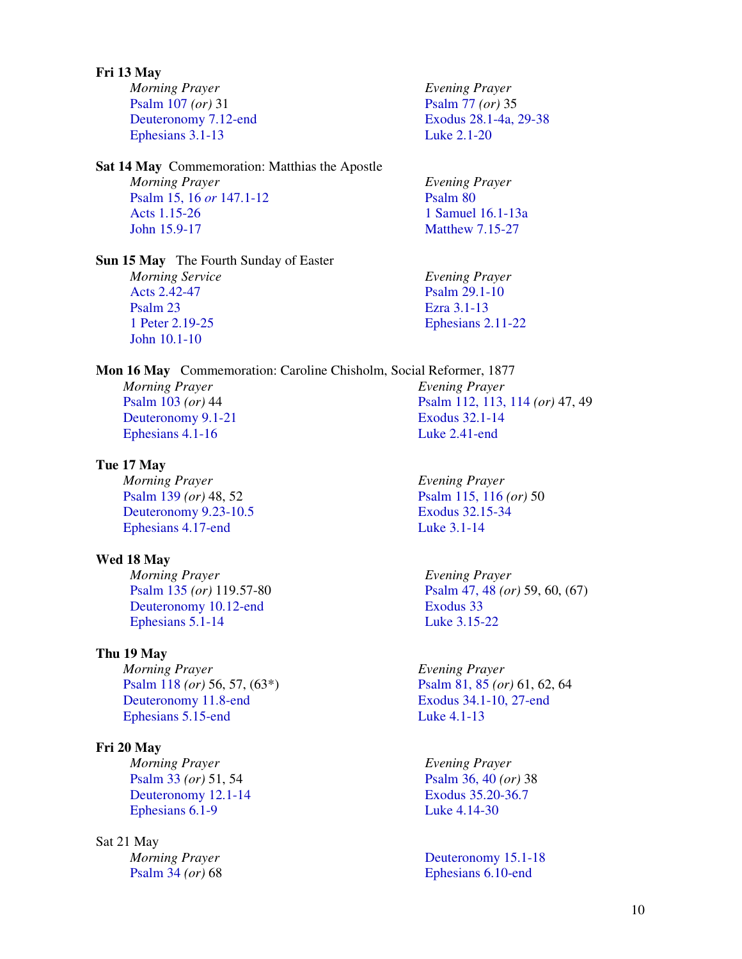### **Fri 13 May**

*Morning Prayer*  Psalm 107 *(or)* 31 Deuteronomy 7.12-end Ephesians 3.1-13

**Sat 14 May** Commemoration: Matthias the Apostle *Morning Prayer*  Psalm 15, 16 *or* 147.1-12 Acts 1.15-26 John 15.9-17

**Sun 15 May** The Fourth Sunday of Easter *Morning Service*  Acts 2.42-47 Psalm 23 1 Peter 2.19-25 John 10.1-10

**Mon 16 May** Commemoration: Caroline Chisholm, Social Reformer, 1877 *Morning Prayer*  Psalm 103 *(or)* 44 Deuteronomy 9.1-21 Ephesians 4.1-16 *Evening Prayer*  Exodus 32.1-14

#### **Tue 17 May**

*Morning Prayer*  Psalm 139 *(or)* 48, 52 Deuteronomy 9.23-10.5 Ephesians 4.17-end

#### **Wed 18 May**

*Morning Prayer*  Psalm 135 *(or)* 119.57-80 Deuteronomy 10.12-end Ephesians 5.1-14

#### **Thu 19 May**

*Morning Prayer*  Psalm 118 *(or)* 56, 57, (63\*) Deuteronomy 11.8-end Ephesians 5.15-end

#### **Fri 20 May**

*Morning Prayer*  Psalm 33 *(or)* 51, 54 Deuteronomy 12.1-14 Ephesians 6.1-9

#### Sat 21 May

*Morning Prayer*  Psalm 34 *(or)* 68

*Evening Prayer*  Psalm 77 *(or)* 35 Exodus 28.1-4a, 29-38 Luke 2.1-20

*Evening Prayer*  Psalm 80 1 Samuel 16.1-13a Matthew 7.15-27

*Evening Prayer*  Psalm 29.1-10 Ezra 3.1-13 Ephesians 2.11-22

Psalm 112, 113, 114 *(or)* 47, 49 Luke 2.41-end

*Evening Prayer*  Psalm 115, 116 *(or)* 50 Exodus 32.15-34 Luke 3.1-14

*Evening Prayer*  Psalm 47, 48 *(or)* 59, 60, (67) Exodus 33 Luke 3.15-22

*Evening Prayer*  Psalm 81, 85 *(or)* 61, 62, 64 Exodus 34.1-10, 27-end Luke 4.1-13

*Evening Prayer*  Psalm 36, 40 *(or)* 38 Exodus 35.20-36.7 Luke 4.14-30

Deuteronomy 15.1-18 Ephesians 6.10-end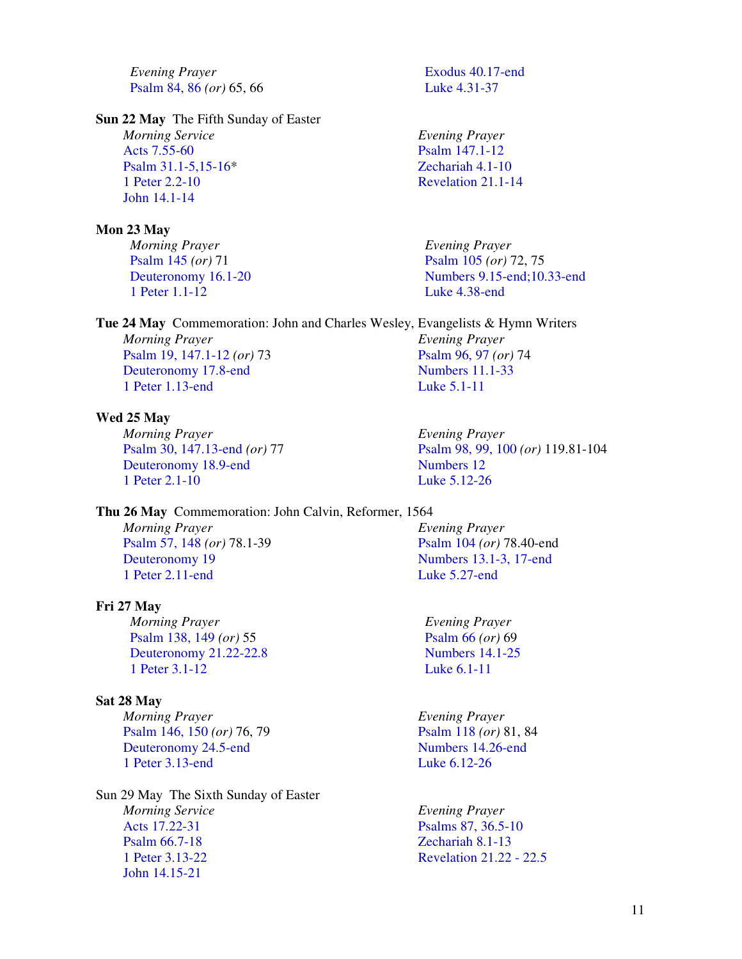*Evening Prayer*  Psalm 84, 86 *(or)* 65, 66

#### **Sun 22 May** The Fifth Sunday of Easter

*Morning Service*  Acts 7.55-60 Psalm 31.1-5,15-16\* 1 Peter 2.2-10 John 14.1-14

#### **Mon 23 May**

*Morning Prayer*  Psalm 145 *(or)* 71 Deuteronomy 16.1-20 1 Peter 1.1-12

**Tue 24 May** Commemoration: John and Charles Wesley, Evangelists & Hymn Writers

*Morning Prayer*  Psalm 19, 147.1-12 *(or)* 73 Deuteronomy 17.8-end 1 Peter 1.13-end

#### **Wed 25 May**

*Morning Prayer*  Psalm 30, 147.13-end *(or)* 77 Deuteronomy 18.9-end 1 Peter 2.1-10

**Thu 26 May** Commemoration: John Calvin, Reformer, 1564

*Morning Prayer*  Psalm 57, 148 *(or)* 78.1-39 Deuteronomy 19 1 Peter 2.11-end

#### **Fri 27 May**

*Morning Prayer*  Psalm 138, 149 *(or)* 55 Deuteronomy 21.22-22.8 1 Peter 3.1-12

### **Sat 28 May**

*Morning Prayer*  Psalm 146, 150 *(or)* 76, 79 Deuteronomy 24.5-end 1 Peter 3.13-end

Sun 29 May The Sixth Sunday of Easter *Morning Service*  Acts 17.22-31 Psalm 66.7-18 1 Peter 3.13-22 John 14.15-21

Exodus 40.17-end Luke 4.31-37

*Evening Prayer*  Psalm 147.1-12 Zechariah 4.1-10 Revelation 21.1-14

*Evening Prayer*  Psalm 105 *(or)* 72, 75 Numbers 9.15-end;10.33-end Luke 4.38-end

*Evening Prayer*  Psalm 96, 97 *(or)* 74 Numbers 11.1-33 Luke 5.1-11

> *Evening Prayer*  Psalm 98, 99, 100 *(or)* 119.81-104 Numbers 12 Luke 5.12-26

*Evening Prayer*  Psalm 104 *(or)* 78.40-end Numbers 13.1-3, 17-end Luke 5.27-end

*Evening Prayer*  Psalm 66 *(or)* 69 Numbers 14.1-25 Luke 6.1-11

*Evening Prayer*  Psalm 118 *(or)* 81, 84 Numbers 14.26-end Luke 6.12-26

*Evening Prayer*  Psalms 87, 36.5-10 Zechariah 8.1-13 Revelation 21.22 - 22.5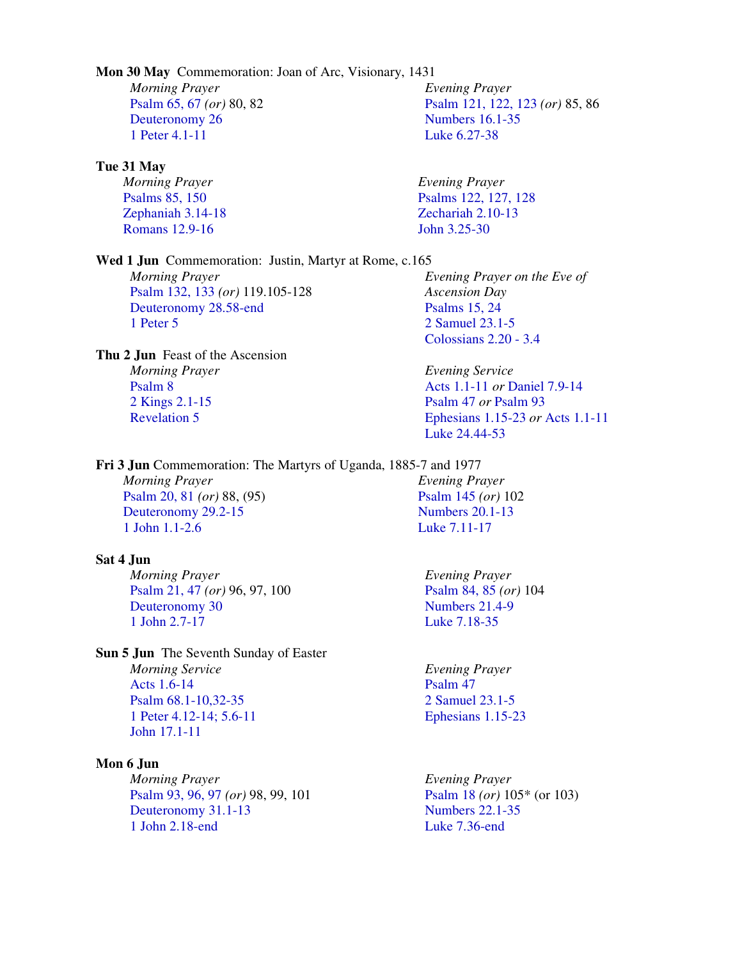#### **Mon 30 May** Commemoration: Joan of Arc, Visionary, 1431

*Morning Prayer*  Psalm 65, 67 *(or)* 80, 82 Deuteronomy 26 1 Peter 4.1-11

#### **Tue 31 May**

*Morning Prayer*  Psalms 85, 150 Romans 12.9-16

Zephaniah 3.14-18

**Wed 1 Jun** Commemoration: Justin, Martyr at Rome, c.165 *Morning Prayer*  Psalm 132, 133 *(or)* 119.105-128 Deuteronomy 28.58-end 1 Peter 5

**Thu 2 Jun** Feast of the Ascension *Morning Prayer*  Psalm 8 2 Kings 2.1-15 Revelation 5

**Fri 3 Jun** Commemoration: The Martyrs of Uganda, 1885-7 and 1977

*Morning Prayer*  Psalm 20, 81 *(or)* 88, (95) Deuteronomy 29.2-15 1 John 1.1-2.6

## **Sat 4 Jun**

*Morning Prayer*  Psalm 21, 47 *(or)* 96, 97, 100 Deuteronomy 30 1 John 2.7-17

**Sun 5 Jun** The Seventh Sunday of Easter *Morning Service*  Acts 1.6-14 Psalm 68.1-10,32-35 1 Peter 4.12-14; 5.6-11 John 17.1-11

#### **Mon 6 Jun**

*Morning Prayer*  Psalm 93, 96, 97 *(or)* 98, 99, 101 Deuteronomy 31.1-13 1 John 2.18-end

*Evening Prayer*  Psalm 121, 122, 123 *(or)* 85, 86 Numbers 16.1-35 Luke 6.27-38

*Evening Prayer*  Psalms 122, 127, 128 Zechariah 2.10-13 John 3.25-30

*Evening Prayer on the Eve of Ascension Day*  Psalms 15, 24 2 Samuel 23.1-5 Colossians 2.20 - 3.4

*Evening Service*  Acts 1.1-11 *or* Daniel 7.9-14 Psalm 47 *or* Psalm 93 Ephesians 1.15-23 *or* Acts 1.1-11 Luke 24.44-53

*Evening Prayer*  Psalm 145 *(or)* 102 Numbers 20.1-13 Luke 7.11-17

*Evening Prayer*  Psalm 84, 85 *(or)* 104 Numbers 21.4-9 Luke 7.18-35

*Evening Prayer*  Psalm 47 2 Samuel 23.1-5 Ephesians 1.15-23

*Evening Prayer*  Psalm 18 *(or)* 105\* (or 103) Numbers 22.1-35 Luke 7.36-end